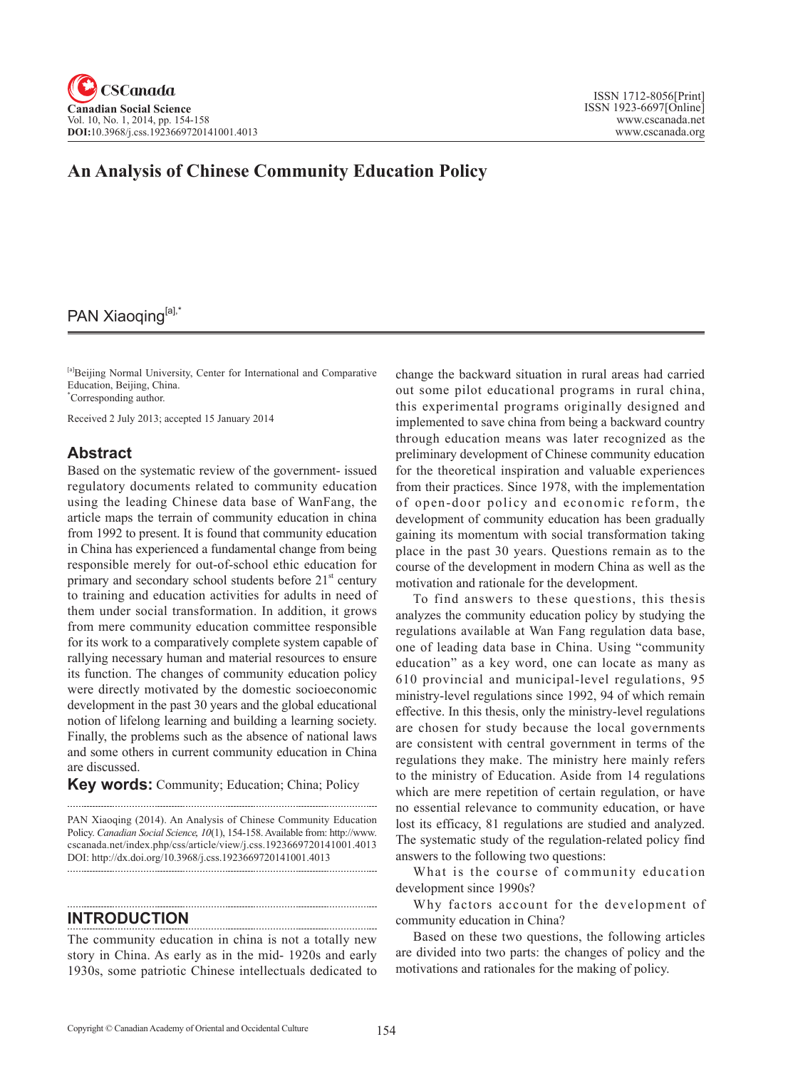# **An Analysis of Chinese Community Education Policy**

# PAN Xiaoqing[a],\*

[a]Beijing Normal University, Center for International and Comparative Education, Beijing, China. \* Corresponding author.

Received 2 July 2013; accepted 15 January 2014

# **Abstract**

Based on the systematic review of the government- issued regulatory documents related to community education using the leading Chinese data base of WanFang, the article maps the terrain of community education in china from 1992 to present. It is found that community education in China has experienced a fundamental change from being responsible merely for out-of-school ethic education for primary and secondary school students before  $21<sup>st</sup>$  century to training and education activities for adults in need of them under social transformation. In addition, it grows from mere community education committee responsible for its work to a comparatively complete system capable of rallying necessary human and material resources to ensure its function. The changes of community education policy were directly motivated by the domestic socioeconomic development in the past 30 years and the global educational notion of lifelong learning and building a learning society. Finally, the problems such as the absence of national laws and some others in current community education in China are discussed.

**Key words:** Community; Education; China; Policy

PAN Xiaoqing (2014). An Analysis of Chinese Community Education Policy. *Canadian Social Science*, <sup>10</sup>(1), 154-158. Available from: http://www. cscanada.net/index.php/css/article/view/j.css.1923669720141001.4013 DOI: http://dx.doi.org/10.3968/j.css.1923669720141001.4013

## **INTRODUCTION**

The community education in china is not a totally new story in China. As early as in the mid- 1920s and early 1930s, some patriotic Chinese intellectuals dedicated to

change the backward situation in rural areas had carried out some pilot educational programs in rural china, this experimental programs originally designed and implemented to save china from being a backward country through education means was later recognized as the preliminary development of Chinese community education for the theoretical inspiration and valuable experiences from their practices. Since 1978, with the implementation of open-door policy and economic reform, the development of community education has been gradually gaining its momentum with social transformation taking place in the past 30 years. Questions remain as to the course of the development in modern China as well as the motivation and rationale for the development.

To find answers to these questions, this thesis analyzes the community education policy by studying the regulations available at Wan Fang regulation data base, one of leading data base in China. Using "community education" as a key word, one can locate as many as 610 provincial and municipal-level regulations, 95 ministry-level regulations since 1992, 94 of which remain effective. In this thesis, only the ministry-level regulations are chosen for study because the local governments are consistent with central government in terms of the regulations they make. The ministry here mainly refers to the ministry of Education. Aside from 14 regulations which are mere repetition of certain regulation, or have no essential relevance to community education, or have lost its efficacy, 81 regulations are studied and analyzed. The systematic study of the regulation-related policy find answers to the following two questions:

What is the course of community education development since 1990s?

Why factors account for the development of community education in China?

Based on these two questions, the following articles are divided into two parts: the changes of policy and the motivations and rationales for the making of policy.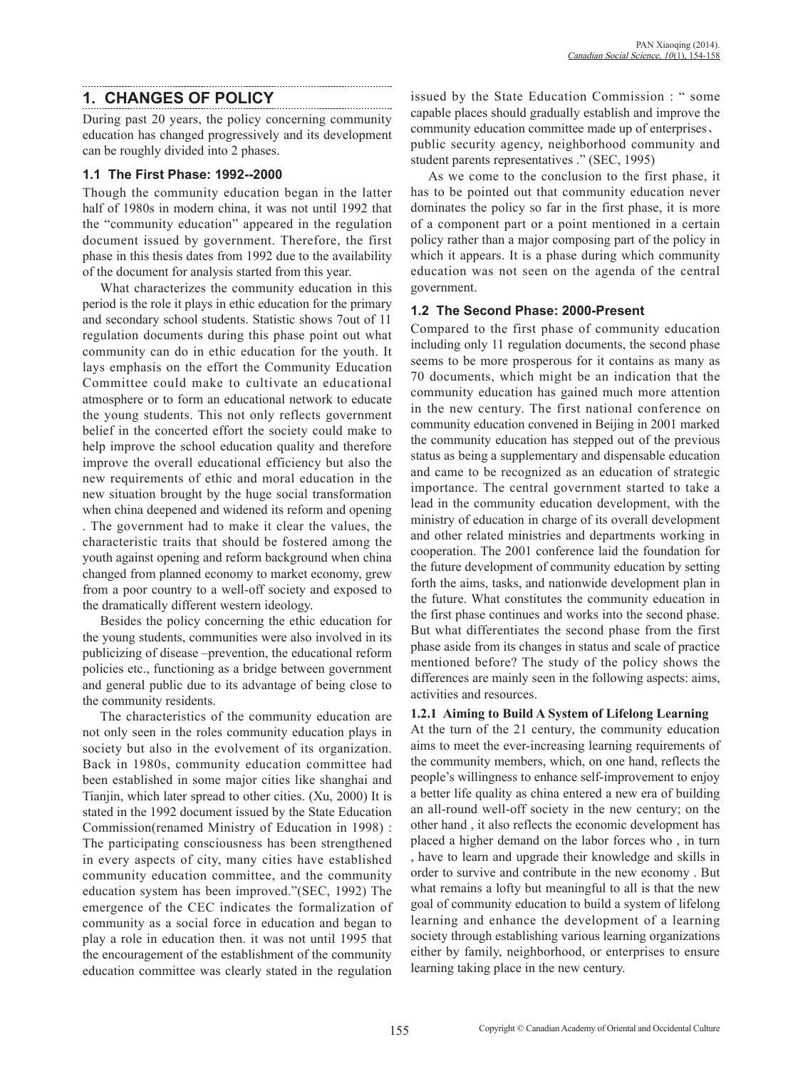# **1. CHANGES OF POLICY**

During past 20 years, the policy concerning community education has changed progressively and its development can be roughly divided into 2 phases.

#### **1.1 The First Phase: 1992--2000**

Though the community education began in the latter half of 1980s in modern china, it was not until 1992 that the "community education" appeared in the regulation document issued by government. Therefore, the first phase in this thesis dates from 1992 due to the availability of the document for analysis started from this year.

What characterizes the community education in this period is the role it plays in ethic education for the primary and secondary school students. Statistic shows 7out of 11 regulation documents during this phase point out what community can do in ethic education for the youth. It lays emphasis on the effort the Community Education Committee could make to cultivate an educational atmosphere or to form an educational network to educate the young students. This not only reflects government belief in the concerted effort the society could make to help improve the school education quality and therefore improve the overall educational efficiency but also the new requirements of ethic and moral education in the new situation brought by the huge social transformation when china deepened and widened its reform and opening . The government had to make it clear the values, the characteristic traits that should be fostered among the youth against opening and reform background when china changed from planned economy to market economy, grew from a poor country to a well-off society and exposed to the dramatically different western ideology.

Besides the policy concerning the ethic education for the young students, communities were also involved in its publicizing of disease –prevention, the educational reform policies etc., functioning as a bridge between government and general public due to its advantage of being close to the community residents.

The characteristics of the community education are not only seen in the roles community education plays in society but also in the evolvement of its organization. Back in 1980s, community education committee had been established in some major cities like shanghai and Tianjin, which later spread to other cities. (Xu, 2000) It is stated in the 1992 document issued by the State Education Commission(renamed Ministry of Education in 1998) : The participating consciousness has been strengthened in every aspects of city, many cities have established community education committee, and the community education system has been improved."(SEC, 1992) The emergence of the CEC indicates the formalization of community as a social force in education and began to play a role in education then. it was not until 1995 that the encouragement of the establishment of the community education committee was clearly stated in the regulation issued by the State Education Commission : " some capable places should gradually establish and improve the community education committee made up of enterprises、 public security agency, neighborhood community and student parents representatives ." (SEC, 1995)

As we come to the conclusion to the first phase, it has to be pointed out that community education never dominates the policy so far in the first phase, it is more of a component part or a point mentioned in a certain policy rather than a major composing part of the policy in which it appears. It is a phase during which community education was not seen on the agenda of the central government.

## **1.2 The Second Phase: 2000-Present**

Compared to the first phase of community education including only 11 regulation documents, the second phase seems to be more prosperous for it contains as many as 70 documents, which might be an indication that the community education has gained much more attention in the new century. The first national conference on community education convened in Beijing in 2001 marked the community education has stepped out of the previous status as being a supplementary and dispensable education and came to be recognized as an education of strategic importance. The central government started to take a lead in the community education development, with the ministry of education in charge of its overall development and other related ministries and departments working in cooperation. The 2001 conference laid the foundation for the future development of community education by setting forth the aims, tasks, and nationwide development plan in the future. What constitutes the community education in the first phase continues and works into the second phase. But what differentiates the second phase from the first phase aside from its changes in status and scale of practice mentioned before? The study of the policy shows the differences are mainly seen in the following aspects: aims, activities and resources.

## **1.2.1 Aiming to Build A System of Lifelong Learning**

At the turn of the 21 century, the community education aims to meet the ever-increasing learning requirements of the community members, which, on one hand, reflects the people's willingness to enhance self-improvement to enjoy a better life quality as china entered a new era of building an all-round well-off society in the new century; on the other hand , it also reflects the economic development has placed a higher demand on the labor forces who , in turn , have to learn and upgrade their knowledge and skills in order to survive and contribute in the new economy . But what remains a lofty but meaningful to all is that the new goal of community education to build a system of lifelong learning and enhance the development of a learning society through establishing various learning organizations either by family, neighborhood, or enterprises to ensure learning taking place in the new century.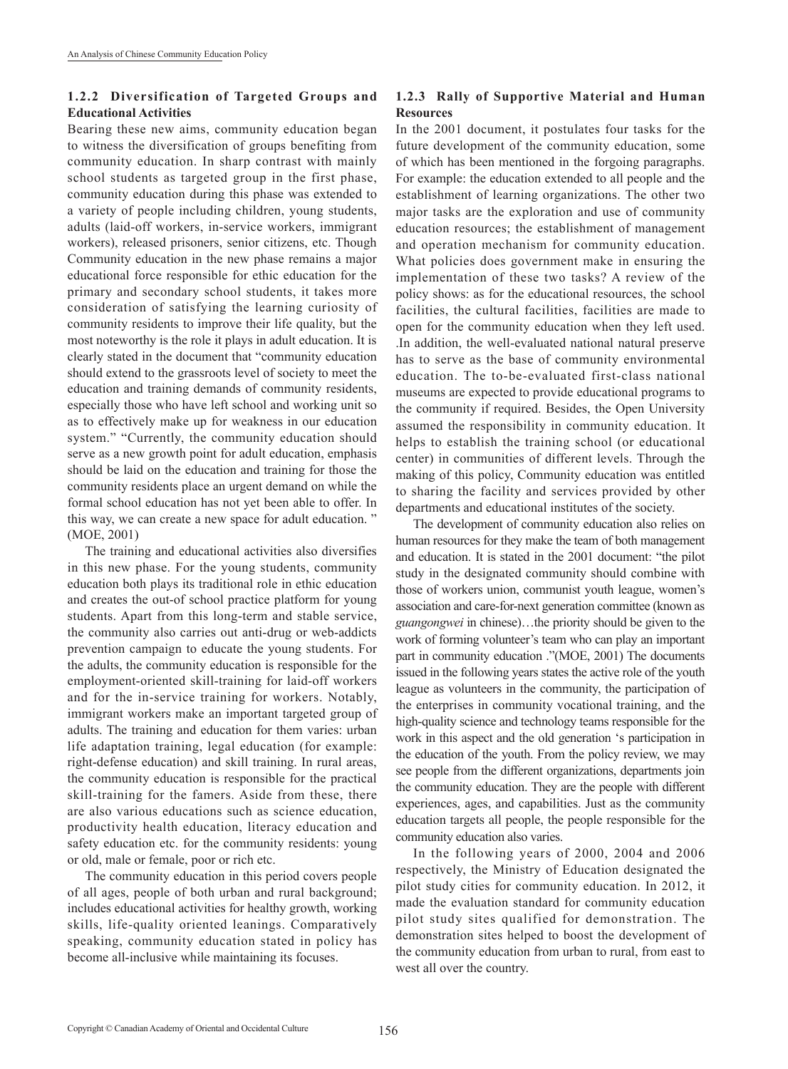## **1.2.2 Diversification of Targeted Groups and Educational Activities**

Bearing these new aims, community education began to witness the diversification of groups benefiting from community education. In sharp contrast with mainly school students as targeted group in the first phase, community education during this phase was extended to a variety of people including children, young students, adults (laid-off workers, in-service workers, immigrant workers), released prisoners, senior citizens, etc. Though Community education in the new phase remains a major educational force responsible for ethic education for the primary and secondary school students, it takes more consideration of satisfying the learning curiosity of community residents to improve their life quality, but the most noteworthy is the role it plays in adult education. It is clearly stated in the document that "community education should extend to the grassroots level of society to meet the education and training demands of community residents, especially those who have left school and working unit so as to effectively make up for weakness in our education system." "Currently, the community education should serve as a new growth point for adult education, emphasis should be laid on the education and training for those the community residents place an urgent demand on while the formal school education has not yet been able to offer. In this way, we can create a new space for adult education. " (MOE, 2001)

The training and educational activities also diversifies in this new phase. For the young students, community education both plays its traditional role in ethic education and creates the out-of school practice platform for young students. Apart from this long-term and stable service, the community also carries out anti-drug or web-addicts prevention campaign to educate the young students. For the adults, the community education is responsible for the employment-oriented skill-training for laid-off workers and for the in-service training for workers. Notably, immigrant workers make an important targeted group of adults. The training and education for them varies: urban life adaptation training, legal education (for example: right-defense education) and skill training. In rural areas, the community education is responsible for the practical skill-training for the famers. Aside from these, there are also various educations such as science education, productivity health education, literacy education and safety education etc. for the community residents: young or old, male or female, poor or rich etc.

The community education in this period covers people of all ages, people of both urban and rural background; includes educational activities for healthy growth, working skills, life-quality oriented leanings. Comparatively speaking, community education stated in policy has become all-inclusive while maintaining its focuses.

# **1.2.3 Rally of Supportive Material and Human Resources**

In the 2001 document, it postulates four tasks for the future development of the community education, some of which has been mentioned in the forgoing paragraphs. For example: the education extended to all people and the establishment of learning organizations. The other two major tasks are the exploration and use of community education resources; the establishment of management and operation mechanism for community education. What policies does government make in ensuring the implementation of these two tasks? A review of the policy shows: as for the educational resources, the school facilities, the cultural facilities, facilities are made to open for the community education when they left used. .In addition, the well-evaluated national natural preserve has to serve as the base of community environmental education. The to-be-evaluated first-class national museums are expected to provide educational programs to the community if required. Besides, the Open University assumed the responsibility in community education. It helps to establish the training school (or educational center) in communities of different levels. Through the making of this policy, Community education was entitled to sharing the facility and services provided by other departments and educational institutes of the society.

The development of community education also relies on human resources for they make the team of both management and education. It is stated in the 2001 document: "the pilot study in the designated community should combine with those of workers union, communist youth league, women's association and care-for-next generation committee (known as *guangongwei* in chinese)…the priority should be given to the work of forming volunteer's team who can play an important part in community education ."(MOE, 2001) The documents issued in the following years states the active role of the youth league as volunteers in the community, the participation of the enterprises in community vocational training, and the high-quality science and technology teams responsible for the work in this aspect and the old generation 's participation in the education of the youth. From the policy review, we may see people from the different organizations, departments join the community education. They are the people with different experiences, ages, and capabilities. Just as the community education targets all people, the people responsible for the community education also varies.

In the following years of 2000, 2004 and 2006 respectively, the Ministry of Education designated the pilot study cities for community education. In 2012, it made the evaluation standard for community education pilot study sites qualified for demonstration. The demonstration sites helped to boost the development of the community education from urban to rural, from east to west all over the country.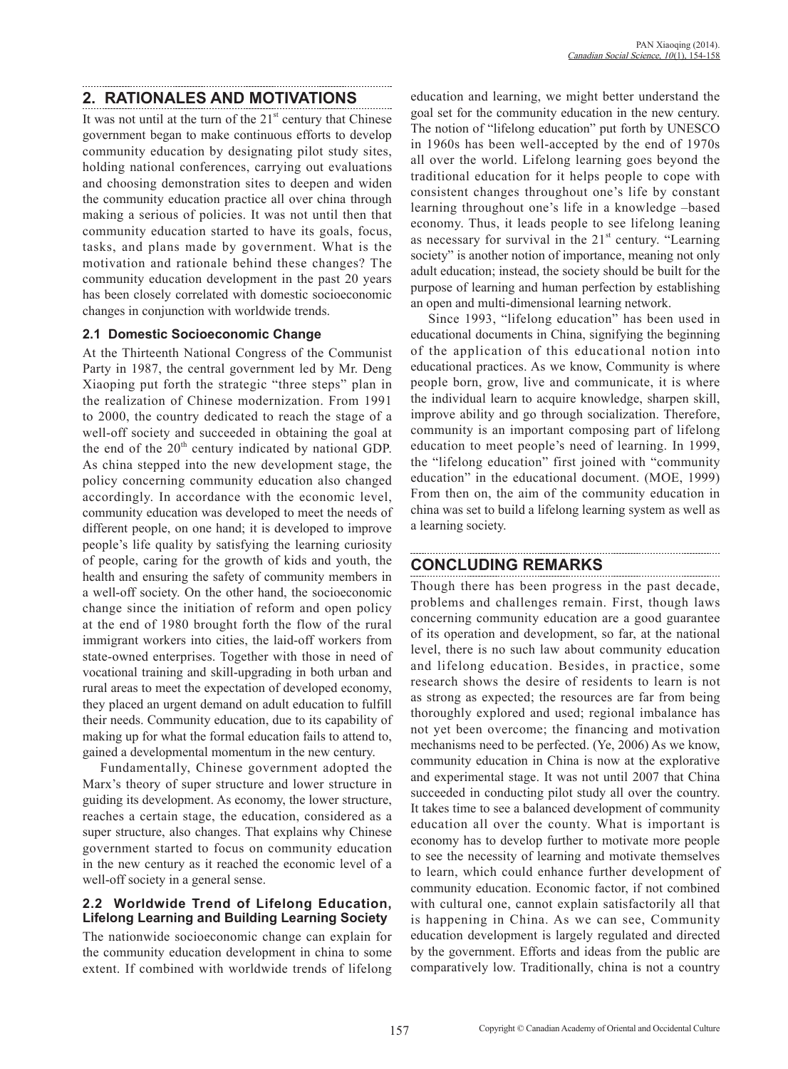# **2. RATIONALES AND MOTIVATIONS**

It was not until at the turn of the  $21<sup>st</sup>$  century that Chinese government began to make continuous efforts to develop community education by designating pilot study sites, holding national conferences, carrying out evaluations and choosing demonstration sites to deepen and widen the community education practice all over china through making a serious of policies. It was not until then that community education started to have its goals, focus, tasks, and plans made by government. What is the motivation and rationale behind these changes? The community education development in the past 20 years has been closely correlated with domestic socioeconomic changes in conjunction with worldwide trends.

## **2.1 Domestic Socioeconomic Change**

At the Thirteenth National Congress of the Communist Party in 1987, the central government led by Mr. Deng Xiaoping put forth the strategic "three steps" plan in the realization of Chinese modernization. From 1991 to 2000, the country dedicated to reach the stage of a well-off society and succeeded in obtaining the goal at the end of the  $20<sup>th</sup>$  century indicated by national GDP. As china stepped into the new development stage, the policy concerning community education also changed accordingly. In accordance with the economic level, community education was developed to meet the needs of different people, on one hand; it is developed to improve people's life quality by satisfying the learning curiosity of people, caring for the growth of kids and youth, the health and ensuring the safety of community members in a well-off society. On the other hand, the socioeconomic change since the initiation of reform and open policy at the end of 1980 brought forth the flow of the rural immigrant workers into cities, the laid-off workers from state-owned enterprises. Together with those in need of vocational training and skill-upgrading in both urban and rural areas to meet the expectation of developed economy, they placed an urgent demand on adult education to fulfill their needs. Community education, due to its capability of making up for what the formal education fails to attend to, gained a developmental momentum in the new century.

Fundamentally, Chinese government adopted the Marx's theory of super structure and lower structure in guiding its development. As economy, the lower structure, reaches a certain stage, the education, considered as a super structure, also changes. That explains why Chinese government started to focus on community education in the new century as it reached the economic level of a well-off society in a general sense.

## **2.2 Worldwide Trend of Lifelong Education, Lifelong Learning and Building Learning Society**

The nationwide socioeconomic change can explain for the community education development in china to some extent. If combined with worldwide trends of lifelong education and learning, we might better understand the goal set for the community education in the new century. The notion of "lifelong education" put forth by UNESCO in 1960s has been well-accepted by the end of 1970s all over the world. Lifelong learning goes beyond the traditional education for it helps people to cope with consistent changes throughout one's life by constant learning throughout one's life in a knowledge –based economy. Thus, it leads people to see lifelong leaning as necessary for survival in the  $21<sup>st</sup>$  century. "Learning society" is another notion of importance, meaning not only adult education; instead, the society should be built for the purpose of learning and human perfection by establishing an open and multi-dimensional learning network.

Since 1993, "lifelong education" has been used in educational documents in China, signifying the beginning of the application of this educational notion into educational practices. As we know, Community is where people born, grow, live and communicate, it is where the individual learn to acquire knowledge, sharpen skill, improve ability and go through socialization. Therefore, community is an important composing part of lifelong education to meet people's need of learning. In 1999, the "lifelong education" first joined with "community education" in the educational document. (MOE, 1999) From then on, the aim of the community education in china was set to build a lifelong learning system as well as a learning society.

## **CONCLUDING REMARKS**

Though there has been progress in the past decade, problems and challenges remain. First, though laws concerning community education are a good guarantee of its operation and development, so far, at the national level, there is no such law about community education and lifelong education. Besides, in practice, some research shows the desire of residents to learn is not as strong as expected; the resources are far from being thoroughly explored and used; regional imbalance has not yet been overcome; the financing and motivation mechanisms need to be perfected. (Ye, 2006) As we know, community education in China is now at the explorative and experimental stage. It was not until 2007 that China succeeded in conducting pilot study all over the country. It takes time to see a balanced development of community education all over the county. What is important is economy has to develop further to motivate more people to see the necessity of learning and motivate themselves to learn, which could enhance further development of community education. Economic factor, if not combined with cultural one, cannot explain satisfactorily all that is happening in China. As we can see, Community education development is largely regulated and directed by the government. Efforts and ideas from the public are comparatively low. Traditionally, china is not a country